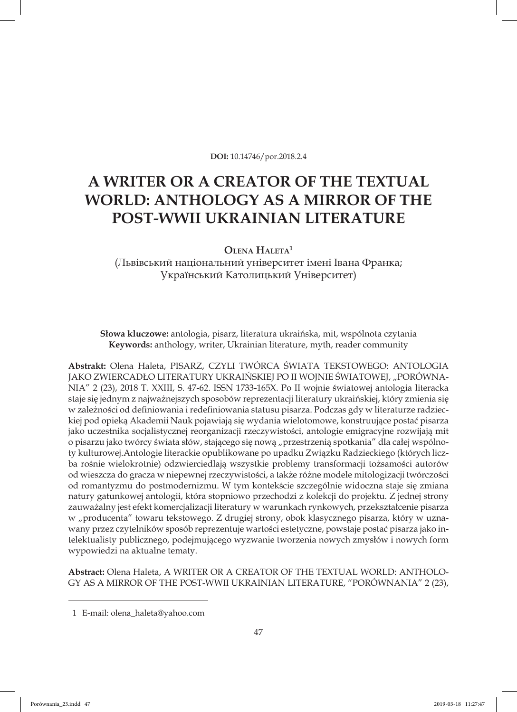**DOI:** 10.14746/por.2018.2.4

## **A WRITER OR A CREATOR OF THE TEXTUAL WORLD: ANTHOLOGY AS A MIRROR OF THE POST-WWII UKRAINIAN LITERATURE**

**Olena Haleta<sup>1</sup>**

(Львівський національний університет імені Івана Франка; Український Католицький Університет)

**Słowa kluczowe:** antologia, pisarz, literatura ukraińska, mit, wspólnota czytania **Keywords:** anthology, writer, Ukrainian literature, myth, reader community

**Abstrakt:** Olena Haleta, PISARZ, CZYLI TWÓRCA ŚWIATA TEKSTOWEGO: ANTOLOGIA JAKO ZWIERCADŁO LITERATURY UKRAIŃSKIEJ PO II WOJNIE ŚWIATOWEJ, "PORÓWNA-NIA" 2 (23), 2018 T. XXIII, S. 47-62. ISSN 1733-165X. Po II wojnie światowej antologia literacka staje się jednym z najważnejszych sposobów reprezentacji literatury ukraińskiej, który zmienia się w zależności od definiowania i redefiniowania statusu pisarza. Podczas gdy w literaturze radzieckiej pod opieką Akademii Nauk pojawiają się wydania wielotomowe, konstruujące postać pisarza jako uczestnika socjalistycznej reorganizacji rzeczywistości, antologie emigracyjne rozwijają mit o pisarzu jako twórcy świata słów, stającego się nową "przestrzenią spotkania" dla całej wspólnoty kulturowej.Antologie literackie opublikowane po upadku Związku Radzieckiego (których liczba rośnie wielokrotnie) odzwierciedlają wszystkie problemy transformacji tożsamości autorów od wieszcza do gracza w niepewnej rzeczywistości, a także różne modele mitologizacji twórczości od romantyzmu do postmodernizmu. W tym kontekście szczególnie widoczna staje się zmiana natury gatunkowej antologii, która stopniowo przechodzi z kolekcji do projektu. Z jednej strony zauważalny jest efekt komercjalizacji literatury w warunkach rynkowych, przekształcenie pisarza w "producenta" towaru tekstowego. Z drugiej strony, obok klasycznego pisarza, który w uznawany przez czytelników sposób reprezentuje wartości estetyczne, powstaje postać pisarza jako intelektualisty publicznego, podejmującego wyzwanie tworzenia nowych zmysłów i nowych form wypowiedzi na aktualne tematy.

**Abstract:** Olena Haleta, A WRITER OR A CREATOR OF THE TEXTUAL WORLD: ANTHOLO-GY AS A MIRROR OF THE POST-WWII UKRAINIAN LITERATURE, "PORÓWNANIA" 2 (23),

<sup>1</sup> E-mail: olena\_haleta@yahoo.com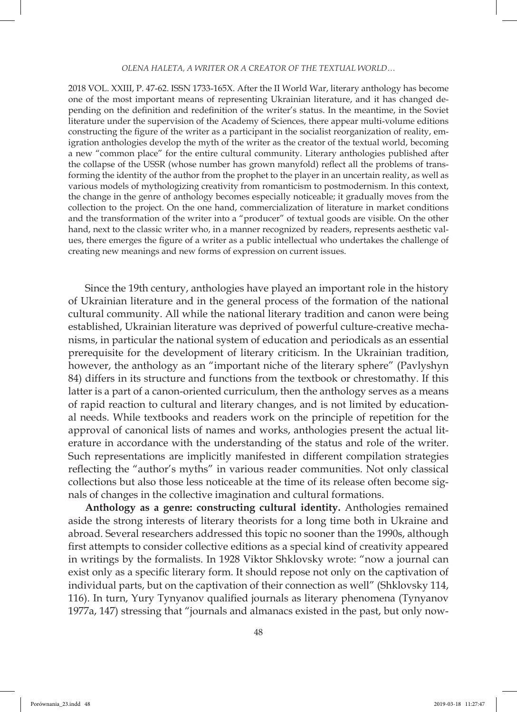## *Olena Haleta, A WRITER OR A CREATOR OF THE TEXTUAL WORLD…*

2018 VOL. XXIII, P. 47-62. ISSN 1733-165X. After the II World War, literary anthology has become one of the most important means of representing Ukrainian literature, and it has changed depending on the definition and redefinition of the writer's status. In the meantime, in the Soviet literature under the supervision of the Academy of Sciences, there appear multi-volume editions constructing the figure of the writer as a participant in the socialist reorganization of reality, emigration anthologies develop the myth of the writer as the creator of the textual world, becoming a new "common place" for the entire cultural community. Literary anthologies published after the collapse of the USSR (whose number has grown manyfold) reflect all the problems of transforming the identity of the author from the prophet to the player in an uncertain reality, as well as various models of mythologizing creativity from romanticism to postmodernism. In this context, the change in the genre of anthology becomes especially noticeable; it gradually moves from the collection to the project. On the one hand, commercialization of literature in market conditions and the transformation of the writer into a "producer" of textual goods are visible. On the other hand, next to the classic writer who, in a manner recognized by readers, represents aesthetic values, there emerges the figure of a writer as a public intellectual who undertakes the challenge of creating new meanings and new forms of expression on current issues.

Since the 19th century, anthologies have played an important role in the history of Ukrainian literature and in the general process of the formation of the national cultural community. All while the national literary tradition and canon were being established, Ukrainian literature was deprived of powerful culture-creative mechanisms, in particular the national system of education and periodicals as an essential prerequisite for the development of literary criticism. In the Ukrainian tradition, however, the anthology as an "important niche of the literary sphere" (Pavlyshyn 84) differs in its structure and functions from the textbook or chrestomathy. If this latter is a part of a canon-oriented curriculum, then the anthology serves as a means of rapid reaction to cultural and literary changes, and is not limited by educational needs. While textbooks and readers work on the principle of repetition for the approval of canonical lists of names and works, anthologies present the actual literature in accordance with the understanding of the status and role of the writer. Such representations are implicitly manifested in different compilation strategies reflecting the "author's myths" in various reader communities. Not only classical collections but also those less noticeable at the time of its release often become signals of changes in the collective imagination and cultural formations.

**Anthology as a genre: constructing cultural identity.** Anthologies remained aside the strong interests of literary theorists for a long time both in Ukraine and abroad. Several researchers addressed this topic no sooner than the 1990s, although first attempts to consider collective editions as a special kind of creativity appeared in writings by the formalists. In 1928 Viktor Shklovsky wrote: "now a journal can exist only as a specific literary form. It should repose not only on the captivation of individual parts, but on the captivation of their connection as well" (Shklovsky 114, 116). In turn, Yury Tynyanov qualified journals as literary phenomena (Tynyanov 1977a, 147) stressing that "journals and almanacs existed in the past, but only now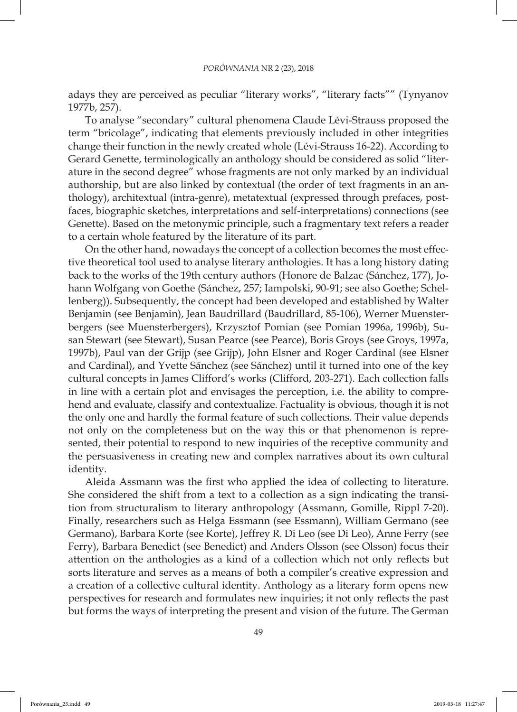adays they are perceived as peculiar "literary works", "literary facts"" (Tynyanov 1977b, 257).

To analyse "secondary" cultural phenomena Claude Lévi-Strauss proposed the term "bricolage", indicating that elements previously included in other integrities change their function in the newly created whole (Lévi-Strauss 16-22). According to Gerard Genette, terminologically an anthology should be considered as solid "literature in the second degree" whose fragments are not only marked by an individual authorship, but are also linked by contextual (the order of text fragments in an anthology), architextual (intra-genre), metatextual (expressed through prefaces, postfaces, biographic sketches, interpretations and self-interpretations) connections (see Genette). Based on the metonymic principle, such a fragmentary text refers a reader to a certain whole featured by the literature of its part.

On the other hand, nowadays the concept of a collection becomes the most effective theoretical tool used to analyse literary anthologies. It has a long history dating back to the works of the 19th century authors (Honore de Balzac (Sánchez, 177), Johann Wolfgang von Goethe (Sánchez, 257; Iampolski, 90-91; see also Goethe; Schellenberg)). Subsequently, the concept had been developed and established by Walter Benjamin (see Benjamin), Jean Baudrillard (Baudrillard, 85-106), Werner Muensterbergers (see Muensterbergers), Krzysztof Pomian (see Pomian 1996a, 1996b), Susan Stewart (see Stewart), Susan Pearce (see Pearce), Boris Groys (see Groys, 1997a, 1997b), Paul van der Grijp (see Grijp), John Elsner and Roger Cardinal (see Elsner and Cardinal), and Yvette Sánchez (see Sánchez) until it turned into one of the key cultural concepts in James Clifford's works (Clifford, 203-271). Each collection falls in line with a certain plot and envisages the perception, i.e. the ability to comprehend and evaluate, classify and contextualize. Factuality is obvious, though it is not the only one and hardly the formal feature of such collections. Their value depends not only on the completeness but on the way this or that phenomenon is represented, their potential to respond to new inquiries of the receptive community and the persuasiveness in creating new and complex narratives about its own cultural identity.

Aleida Assmann was the first who applied the idea of collecting to literature. She considered the shift from a text to a collection as a sign indicating the transition from structuralism to literary anthropology (Assmann, Gomille, Rippl 7-20). Finally, researchers such as Helga Essmann (see Essmann), William Germano (see Germano), Barbara Korte (see Korte), Jeffrey R. Di Leo (see Di Leo), Anne Ferry (see Ferry), Barbara Benedict (see Benedict) and Anders Olsson (see Olsson) focus their attention on the anthologies as a kind of a collection which not only reflects but sorts literature and serves as a means of both a compiler's creative expression and a creation of a collective cultural identity. Anthology as a literary form opens new perspectives for research and formulates new inquiries; it not only reflects the past but forms the ways of interpreting the present and vision of the future. The German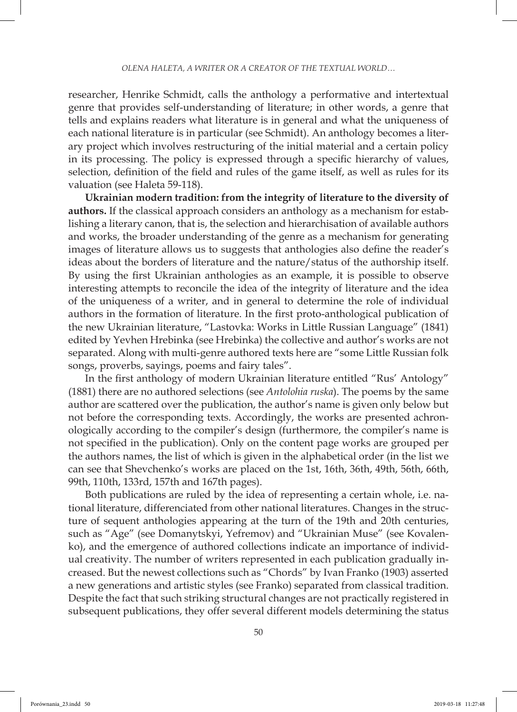researcher, Henrike Schmidt, calls the anthology a performative and intertextual genre that provides self-understanding of literature; in other words, a genre that tells and explains readers what literature is in general and what the uniqueness of each national literature is in particular (see Schmidt). An anthology becomes a literary project which involves restructuring of the initial material and a certain policy in its processing. The policy is expressed through a specific hierarchy of values, selection, definition of the field and rules of the game itself, as well as rules for its valuation (see Haleta 59-118).

**Ukrainian modern tradition: from the integrity of literature to the diversity of authors.** If the classical approach considers an anthology as a mechanism for establishing a literary canon, that is, the selection and hierarchisation of available authors and works, the broader understanding of the genre as a mechanism for generating images of literature allows us to suggests that anthologies also define the reader's ideas about the borders of literature and the nature/status of the authorship itself. By using the first Ukrainian anthologies as an example, it is possible to observe interesting attempts to reconcile the idea of the integrity of literature and the idea of the uniqueness of a writer, and in general to determine the role of individual authors in the formation of literature. In the first proto-anthological publication of the new Ukrainian literature, "Lastovka: Works in Little Russian Language" (1841) edited by Yevhen Hrebinka (see Hrebinka) the collective and author's works are not separated. Along with multi-genre authored texts here are "some Little Russian folk songs, proverbs, sayings, poems and fairy tales".

In the first anthology of modern Ukrainian literature entitled "Rus' Antology" (1881) there are no authored selections (see *Antolohia ruska*). The poems by the same author are scattered over the publication, the author's name is given only below but not before the corresponding texts. Accordingly, the works are presented achronologically according to the compiler's design (furthermore, the compiler's name is not specified in the publication). Only on the content page works are grouped per the authors names, the list of which is given in the alphabetical order (in the list we can see that Shevchenko's works are placed on the 1st, 16th, 36th, 49th, 56th, 66th, 99th, 110th, 133rd, 157th and 167th pages).

Both publications are ruled by the idea of representing a certain whole, i.e. national literature, differenciated from other national literatures. Changes in the structure of sequent anthologies appearing at the turn of the 19th and 20th centuries, such as "Age" (see Domanytskyi, Yefremov) and "Ukrainian Muse" (see Kovalenko), and the emergence of authored collections indicate an importance of individual creativity. The number of writers represented in each publication gradually increased. But the newest collections such as "Chords" by Ivan Franko (1903) asserted a new generations and artistic styles (see Franko) separated from classical tradition. Despite the fact that such striking structural changes are not practically registered in subsequent publications, they offer several different models determining the status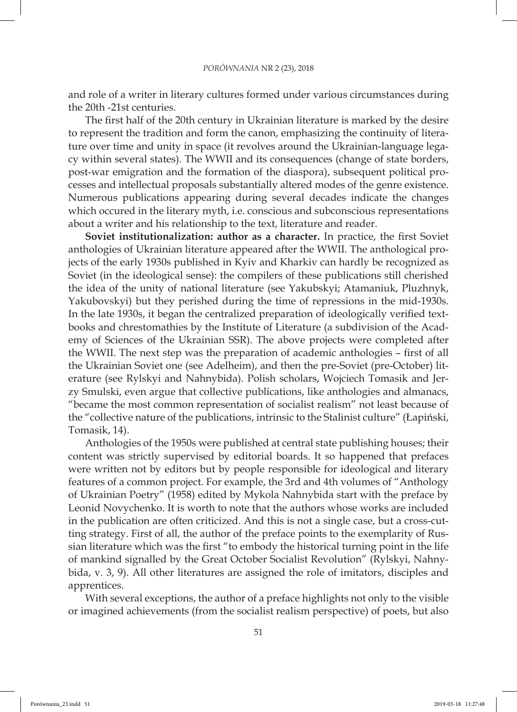and role of a writer in literary cultures formed under various circumstances during the 20th -21st centuries.

The first half of the 20th century in Ukrainian literature is marked by the desire to represent the tradition and form the canon, emphasizing the continuity of literature over time and unity in space (it revolves around the Ukrainian-language legacy within several states). The WWII and its consequences (change of state borders, post-war emigration and the formation of the diaspora), subsequent political processes and intellectual proposals substantially altered modes of the genre existence. Numerous publications appearing during several decades indicate the changes which occured in the literary myth, i.e. conscious and subconscious representations about a writer and his relationship to the text, literature and reader.

**Soviet institutionalization: author as a character.** In practice, the first Soviet anthologies of Ukrainian literature appeared after the WWII. The anthological projects of the early 1930s published in Kyiv and Kharkiv can hardly be recognized as Soviet (in the ideological sense): the compilers of these publications still cherished the idea of the unity of national literature (see Yakubskyi; Atamaniuk, Pluzhnyk, Yakubovskyi) but they perished during the time of repressions in the mid-1930s. In the late 1930s, it began the centralized preparation of ideologically verified textbooks and chrestomathies by the Institute of Literature (a subdivision of the Academy of Sciences of the Ukrainian SSR). The above projects were completed after the WWII. The next step was the preparation of academic anthologies – first of all the Ukrainian Soviet one (see Adelheim), and then the pre-Soviet (pre-October) literature (see Rylskyi and Nahnybida). Polish scholars, Wojciech Tomasik and Jerzy Smulski, even argue that collective publications, like anthologies and almanacs, "became the most common representation of socialist realism" not least because of the "collective nature of the publications, intrinsic to the Stalinist culture" (Łapiński, Tomasik, 14).

Anthologies of the 1950s were published at central state publishing houses; their content was strictly supervised by editorial boards. It so happened that prefaces were written not by editors but by people responsible for ideological and literary features of a common project. For example, the 3rd and 4th volumes of "Anthology of Ukrainian Poetry" (1958) edited by Mykola Nahnybida start with the preface by Leonid Novychenko. It is worth to note that the authors whose works are included in the publication are often criticized. And this is not a single case, but a cross-cutting strategy. First of all, the author of the preface points to the exemplarity of Russian literature which was the first "to embody the historical turning point in the life of mankind signalled by the Great October Socialist Revolution" (Rylskyi, Nahnybida, v. 3, 9). All other literatures are assigned the role of imitators, disciples and apprentices.

With several exceptions, the author of a preface highlights not only to the visible or imagined achievements (from the socialist realism perspective) of poets, but also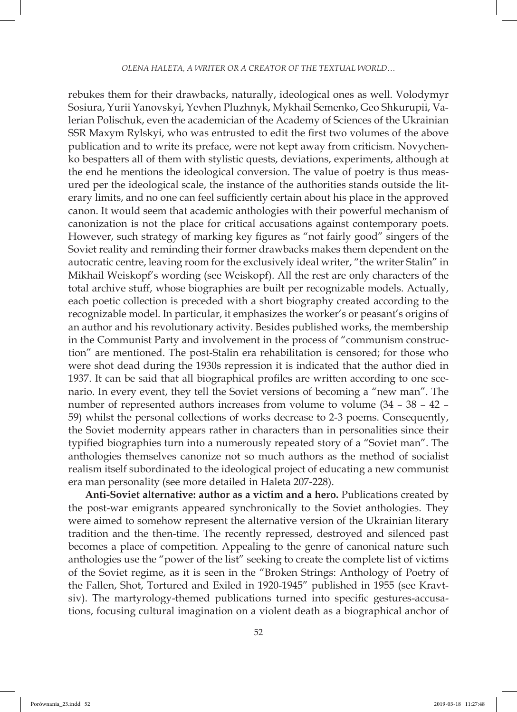rebukes them for their drawbacks, naturally, ideological ones as well. Volodymyr Sosiura, Yurii Yanovskyi, Yevhen Pluzhnyk, Mykhail Semenko, Geo Shkurupii, Valerian Polischuk, even the academician of the Academy of Sciences of the Ukrainian SSR Maxym Rylskyi, who was entrusted to edit the first two volumes of the above publication and to write its preface, were not kept away from criticism. Novychenko bespatters all of them with stylistic quests, deviations, experiments, although at the end he mentions the ideological conversion. The value of poetry is thus measured per the ideological scale, the instance of the authorities stands outside the literary limits, and no one can feel sufficiently certain about his place in the approved canon. It would seem that academic anthologies with their powerful mechanism of canonization is not the place for critical accusations against contemporary poets. However, such strategy of marking key figures as "not fairly good" singers of the Soviet reality and reminding their former drawbacks makes them dependent on the autocratic centre, leaving room for the exclusively ideal writer, "the writer Stalin" in Mikhail Weiskopf's wording (see Weiskopf). All the rest are only characters of the total archive stuff, whose biographies are built per recognizable models. Actually, each poetic collection is preceded with a short biography created according to the recognizable model. In particular, it emphasizes the worker's or peasant's origins of an author and his revolutionary activity. Besides published works, the membership in the Communist Party and involvement in the process of "communism construction" are mentioned. The post-Stalin era rehabilitation is censored; for those who were shot dead during the 1930s repression it is indicated that the author died in 1937. It can be said that all biographical profiles are written according to one scenario. In every event, they tell the Soviet versions of becoming a "new man". The number of represented authors increases from volume to volume (34 – 38 – 42 – 59) whilst the personal collections of works decrease to 2-3 poems. Consequently, the Soviet modernity appears rather in characters than in personalities since their typified biographies turn into a numerously repeated story of a "Soviet man". The anthologies themselves canonize not so much authors as the method of socialist realism itself subordinated to the ideological project of educating a new communist era man personality (see more detailed in Haleta 207-228).

**Anti-Soviet alternative: author as a victim and a hero.** Publications created by the post-war emigrants appeared synchronically to the Soviet anthologies. They were aimed to somehow represent the alternative version of the Ukrainian literary tradition and the then-time. The recently repressed, destroyed and silenced past becomes a place of competition. Appealing to the genre of canonical nature such anthologies use the "power of the list" seeking to create the complete list of victims of the Soviet regime, as it is seen in the "Broken Strings: Anthology of Poetry of the Fallen, Shot, Tortured and Exiled in 1920-1945" published in 1955 (see Kravtsiv). The martyrology-themed publications turned into specific gestures-accusations, focusing cultural imagination on a violent death as a biographical anchor of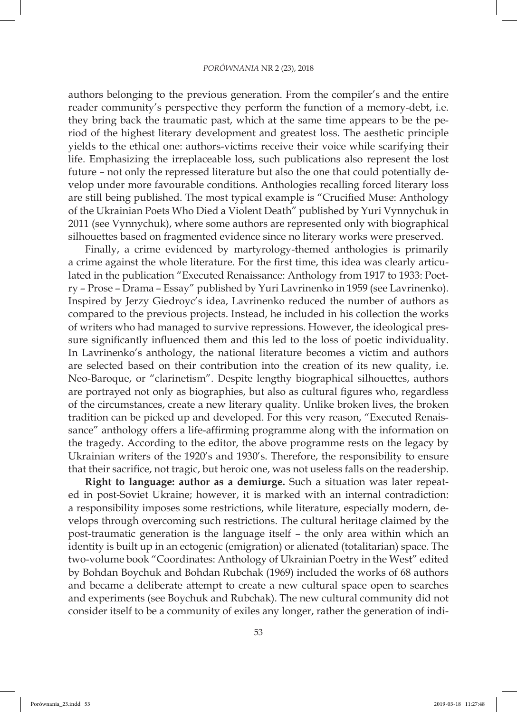authors belonging to the previous generation. From the compiler's and the entire reader community's perspective they perform the function of a memory-debt, i.e. they bring back the traumatic past, which at the same time appears to be the period of the highest literary development and greatest loss. The aesthetic principle yields to the ethical one: authors-victims receive their voice while scarifying their life. Emphasizing the irreplaceable loss, such publications also represent the lost future – not only the repressed literature but also the one that could potentially develop under more favourable conditions. Anthologies recalling forced literary loss are still being published. The most typical example is "Crucified Muse: Anthology of the Ukrainian Poets Who Died a Violent Death" published by Yuri Vynnychuk in 2011 (see Vynnychuk), where some authors are represented only with biographical silhouettes based on fragmented evidence since no literary works were preserved.

Finally, a crime evidenced by martyrology-themed anthologies is primarily a crime against the whole literature. For the first time, this idea was clearly articulated in the publication "Executed Renaissance: Anthology from 1917 to 1933: Poetry – Prose – Drama – Essay" published by Yuri Lavrinenko in 1959 (see Lavrinenko). Inspired by Jerzy Giedroyc's idea, Lavrinenko reduced the number of authors as compared to the previous projects. Instead, he included in his collection the works of writers who had managed to survive repressions. However, the ideological pressure significantly influenced them and this led to the loss of poetic individuality. In Lavrinenko's anthology, the national literature becomes a victim and authors are selected based on their contribution into the creation of its new quality, i.e. Neo-Baroque, or "clarinetism". Despite lengthy biographical silhouettes, authors are portrayed not only as biographies, but also as cultural figures who, regardless of the circumstances, create a new literary quality. Unlike broken lives, the broken tradition can be picked up and developed. For this very reason, "Executed Renaissance" anthology offers a life-affirming programme along with the information on the tragedy. According to the editor, the above programme rests on the legacy by Ukrainian writers of the 1920's and 1930's. Therefore, the responsibility to ensure that their sacrifice, not tragic, but heroic one, was not useless falls on the readership.

**Right to language: author as a demiurge.** Such a situation was later repeated in post-Soviet Ukraine; however, it is marked with an internal contradiction: a responsibility imposes some restrictions, while literature, especially modern, develops through overcoming such restrictions. The cultural heritage claimed by the post-traumatic generation is the language itself – the only area within which an identity is built up in an ectogenic (emigration) or alienated (totalitarian) space. The two-volume book "Coordinates: Anthology of Ukrainian Poetry in the West" edited by Bohdan Boychuk and Bohdan Rubchak (1969) included the works of 68 authors and became a deliberate attempt to create a new cultural space open to searches and experiments (see Boychuk and Rubchak). The new cultural community did not consider itself to be a community of exiles any longer, rather the generation of indi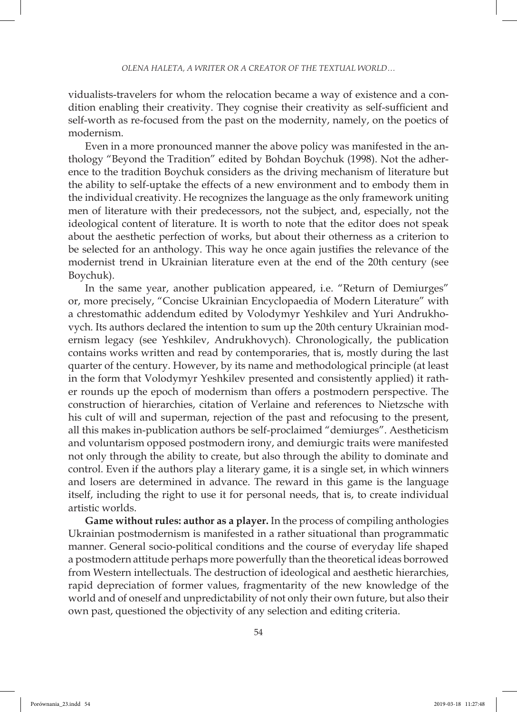vidualists-travelers for whom the relocation became a way of existence and a condition enabling their creativity. They cognise their creativity as self-sufficient and self-worth as re-focused from the past on the modernity, namely, on the poetics of modernism.

Even in a more pronounced manner the above policy was manifested in the anthology "Beyond the Tradition" edited by Bohdan Boychuk (1998). Not the adherence to the tradition Boychuk considers as the driving mechanism of literature but the ability to self-uptake the effects of a new environment and to embody them in the individual creativity. He recognizes the language as the only framework uniting men of literature with their predecessors, not the subject, and, especially, not the ideological content of literature. It is worth to note that the editor does not speak about the aesthetic perfection of works, but about their otherness as a criterion to be selected for an anthology. This way he once again justifies the relevance of the modernist trend in Ukrainian literature even at the end of the 20th century (see Boychuk).

In the same year, another publication appeared, i.e. "Return of Demiurges" or, more precisely, "Concise Ukrainian Encyclopaedia of Modern Literature" with a chrestomathic addendum edited by Volodymyr Yeshkilev and Yuri Andrukhovych. Its authors declared the intention to sum up the 20th century Ukrainian modernism legacy (see Yeshkilev, Andrukhovych). Chronologically, the publication contains works written and read by contemporaries, that is, mostly during the last quarter of the century. However, by its name and methodological principle (at least in the form that Volodymyr Yeshkilev presented and consistently applied) it rather rounds up the epoch of modernism than offers a postmodern perspective. The construction of hierarchies, citation of Verlaine and references to Nietzsche with his cult of will and superman, rejection of the past and refocusing to the present, all this makes in-publication authors be self-proclaimed "demiurges". Aestheticism and voluntarism opposed postmodern irony, and demiurgic traits were manifested not only through the ability to create, but also through the ability to dominate and control. Even if the authors play a literary game, it is a single set, in which winners and losers are determined in advance. The reward in this game is the language itself, including the right to use it for personal needs, that is, to create individual artistic worlds.

**Game without rules: author as a player.** In the process of compiling anthologies Ukrainian postmodernism is manifested in a rather situational than programmatic manner. General socio-political conditions and the course of everyday life shaped a postmodern attitude perhaps more powerfully than the theoretical ideas borrowed from Western intellectuals. The destruction of ideological and aesthetic hierarchies, rapid depreciation of former values, fragmentarity of the new knowledge of the world and of oneself and unpredictability of not only their own future, but also their own past, questioned the objectivity of any selection and editing criteria.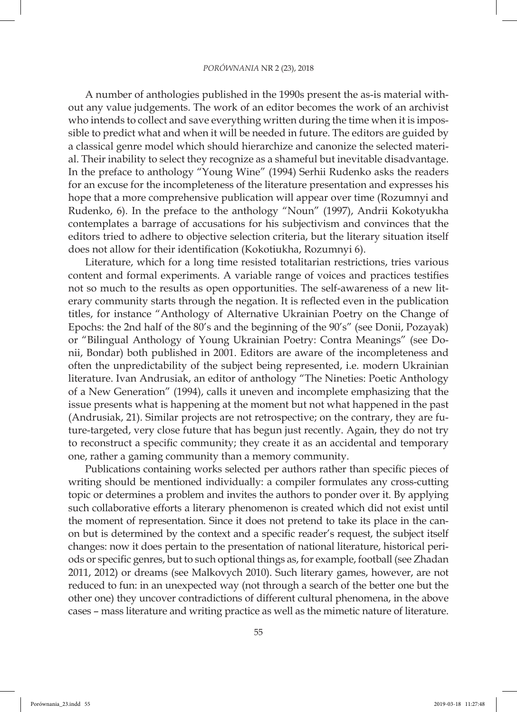A number of anthologies published in the 1990s present the as-is material without any value judgements. The work of an editor becomes the work of an archivist who intends to collect and save everything written during the time when it is impossible to predict what and when it will be needed in future. The editors are guided by a classical genre model which should hierarchize and canonize the selected material. Their inability to select they recognize as a shameful but inevitable disadvantage. In the preface to anthology "Young Wine" (1994) Serhii Rudenko asks the readers for an excuse for the incompleteness of the literature presentation and expresses his hope that a more comprehensive publication will appear over time (Rozumnyi and Rudenko, 6). In the preface to the anthology "Noun" (1997), Andrii Kokotyukha contemplates a barrage of accusations for his subjectivism and convinces that the editors tried to adhere to objective selection criteria, but the literary situation itself does not allow for their identification (Kokotiukha, Rozumnyi 6).

Literature, which for a long time resisted totalitarian restrictions, tries various content and formal experiments. A variable range of voices and practices testifies not so much to the results as open opportunities. The self-awareness of a new literary community starts through the negation. It is reflected even in the publication titles, for instance "Anthology of Alternative Ukrainian Poetry on the Change of Epochs: the 2nd half of the 80's and the beginning of the 90's" (see Donii, Pozayak) or "Bilingual Anthology of Young Ukrainian Poetry: Contra Meanings" (see Donii, Bondar) both published in 2001. Editors are aware of the incompleteness and often the unpredictability of the subject being represented, i.e. modern Ukrainian literature. Ivan Andrusiak, an editor of anthology "The Nineties: Poetic Anthology of a New Generation" (1994), calls it uneven and incomplete emphasizing that the issue presents what is happening at the moment but not what happened in the past (Andrusiak, 21). Similar projects are not retrospective; on the contrary, they are future-targeted, very close future that has begun just recently. Again, they do not try to reconstruct a specific community; they create it as an accidental and temporary one, rather a gaming community than a memory community.

Publications containing works selected per authors rather than specific pieces of writing should be mentioned individually: a compiler formulates any cross-cutting topic or determines a problem and invites the authors to ponder over it. By applying such collaborative efforts a literary phenomenon is created which did not exist until the moment of representation. Since it does not pretend to take its place in the canon but is determined by the context and a specific reader's request, the subject itself changes: now it does pertain to the presentation of national literature, historical periods or specific genres, but to such optional things as, for example, football (see Zhadan 2011, 2012) or dreams (see Malkovych 2010). Such literary games, however, are not reduced to fun: in an unexpected way (not through a search of the better one but the other one) they uncover contradictions of different cultural phenomena, in the above cases – mass literature and writing practice as well as the mimetic nature of literature.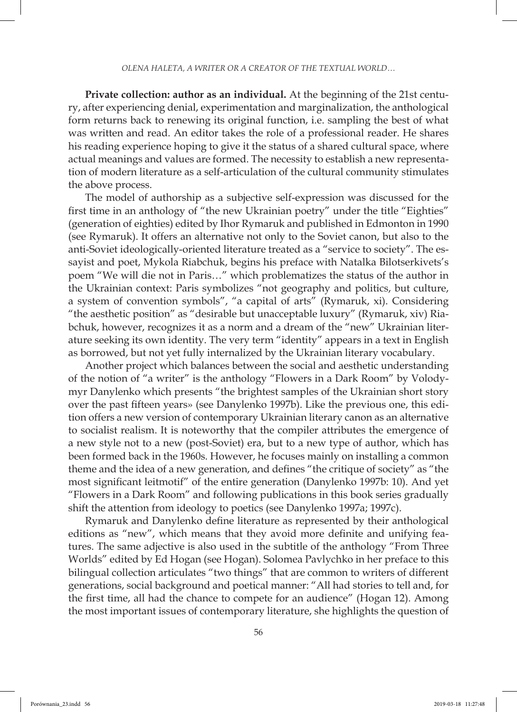**Private collection: author as an individual.** At the beginning of the 21st century, after experiencing denial, experimentation and marginalization, the anthological form returns back to renewing its original function, i.e. sampling the best of what was written and read. An editor takes the role of a professional reader. He shares his reading experience hoping to give it the status of a shared cultural space, where actual meanings and values are formed. The necessity to establish a new representation of modern literature as a self-articulation of the cultural community stimulates the above process.

The model of authorship as a subjective self-expression was discussed for the first time in an anthology of "the new Ukrainian poetry" under the title "Eighties" (generation of eighties) edited by Ihor Rymaruk and published in Edmonton in 1990 (see Rymaruk). It offers an alternative not only to the Soviet canon, but also to the anti-Soviet ideologically-oriented literature treated as a "service to society". The essayist and poet, Mykola Riabchuk, begins his preface with Natalka Bilotserkivets's poem "We will die not in Paris…" which problematizes the status of the author in the Ukrainian context: Paris symbolizes "not geography and politics, but culture, a system of convention symbols", "a capital of arts" (Rymaruk, xi). Considering "the aesthetic position" as "desirable but unacceptable luxury" (Rymaruk, xiv) Riabchuk, however, recognizes it as a norm and a dream of the "new" Ukrainian literature seeking its own identity. The very term "identity" appears in a text in English as borrowed, but not yet fully internalized by the Ukrainian literary vocabulary.

Another project which balances between the social and aesthetic understanding of the notion of "a writer" is the anthology "Flowers in a Dark Room" by Volodymyr Danylenko which presents "the brightest samples of the Ukrainian short story over the past fifteen years» (see Danylenko 1997b). Like the previous one, this edition offers a new version of contemporary Ukrainian literary canon as an alternative to socialist realism. It is noteworthy that the compiler attributes the emergence of a new style not to a new (post-Soviet) era, but to a new type of author, which has been formed back in the 1960s. However, he focuses mainly on installing a common theme and the idea of a new generation, and defines "the critique of society" as "the most significant leitmotif" of the entire generation (Danylenko 1997b: 10). And yet "Flowers in a Dark Room" and following publications in this book series gradually shift the attention from ideology to poetics (see Danylenko 1997a; 1997c).

Rymaruk and Danylenko define literature as represented by their anthological editions as "new", which means that they avoid more definite and unifying features. The same adjective is also used in the subtitle of the anthology "From Three Worlds" edited by Ed Hogan (see Hogan). Solomea Pavlychko in her preface to this bilingual collection articulates "two things" that are common to writers of different generations, social background and poetical manner: "All had stories to tell and, for the first time, all had the chance to compete for an audience" (Hogan 12). Among the most important issues of contemporary literature, she highlights the question of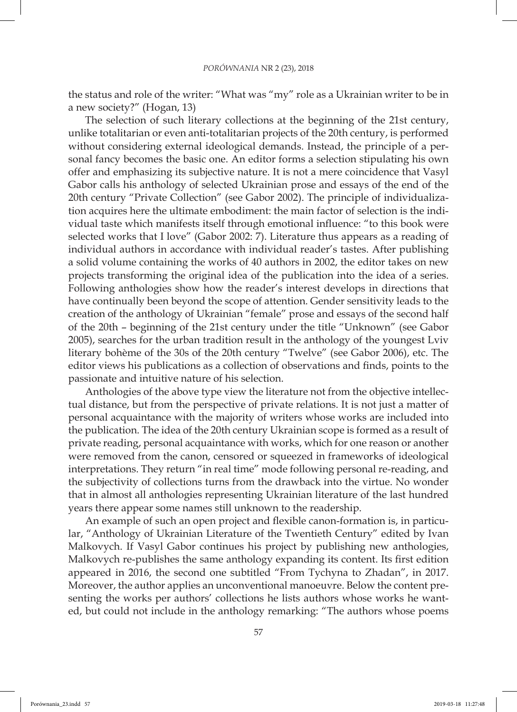the status and role of the writer: "What was "my" role as a Ukrainian writer to be in a new society?" (Hogan, 13)

The selection of such literary collections at the beginning of the 21st century, unlike totalitarian or even anti-totalitarian projects of the 20th century, is performed without considering external ideological demands. Instead, the principle of a personal fancy becomes the basic one. An editor forms a selection stipulating his own offer and emphasizing its subjective nature. It is not a mere coincidence that Vasyl Gabor calls his anthology of selected Ukrainian prose and essays of the end of the 20th century "Private Collection" (see Gabor 2002). The principle of individualization acquires here the ultimate embodiment: the main factor of selection is the individual taste which manifests itself through emotional influence: "to this book were selected works that I love" (Gabor 2002: 7). Literature thus appears as a reading of individual authors in accordance with individual reader's tastes. After publishing a solid volume containing the works of 40 authors in 2002, the editor takes on new projects transforming the original idea of the publication into the idea of a series. Following anthologies show how the reader's interest develops in directions that have continually been beyond the scope of attention. Gender sensitivity leads to the creation of the anthology of Ukrainian "female" prose and essays of the second half of the 20th – beginning of the 21st century under the title "Unknown" (see Gabor 2005), searches for the urban tradition result in the anthology of the youngest Lviv literary bohème of the 30s of the 20th century "Twelve" (see Gabor 2006), etc. The editor views his publications as a collection of observations and finds, points to the passionate and intuitive nature of his selection.

Anthologies of the above type view the literature not from the objective intellectual distance, but from the perspective of private relations. It is not just a matter of personal acquaintance with the majority of writers whose works are included into the publication. The idea of the 20th century Ukrainian scope is formed as a result of private reading, personal acquaintance with works, which for one reason or another were removed from the canon, censored or squeezed in frameworks of ideological interpretations. They return "in real time" mode following personal re-reading, and the subjectivity of collections turns from the drawback into the virtue. No wonder that in almost all anthologies representing Ukrainian literature of the last hundred years there appear some names still unknown to the readership.

An example of such an open project and flexible canon-formation is, in particular, "Anthology of Ukrainian Literature of the Twentieth Century" edited by Ivan Malkovych. If Vasyl Gabor continues his project by publishing new anthologies, Malkovych re-publishes the same anthology expanding its content. Its first edition appeared in 2016, the second one subtitled "From Tychyna to Zhadan", in 2017. Moreover, the author applies an unconventional manoeuvre. Below the content presenting the works per authors' collections he lists authors whose works he wanted, but could not include in the anthology remarking: "The authors whose poems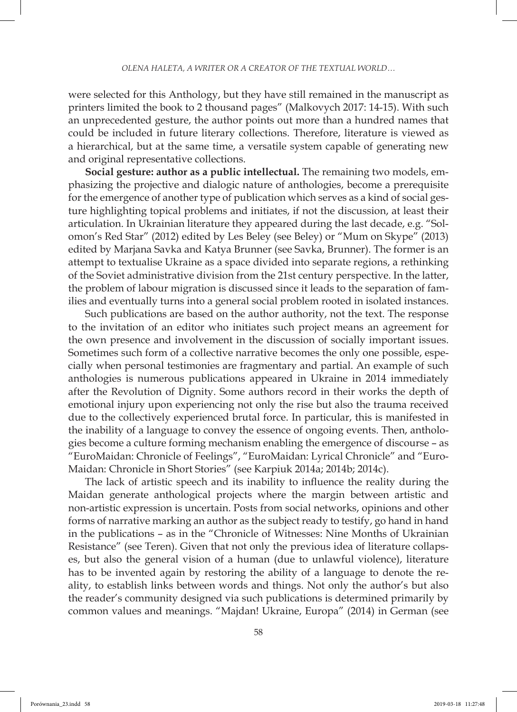were selected for this Anthology, but they have still remained in the manuscript as printers limited the book to 2 thousand pages" (Malkovych 2017: 14-15). With such an unprecedented gesture, the author points out more than a hundred names that could be included in future literary collections. Therefore, literature is viewed as a hierarchical, but at the same time, a versatile system capable of generating new and original representative collections.

**Social gesture: author as a public intellectual.** The remaining two models, emphasizing the projective and dialogic nature of anthologies, become a prerequisite for the emergence of another type of publication which serves as a kind of social gesture highlighting topical problems and initiates, if not the discussion, at least their articulation. In Ukrainian literature they appeared during the last decade, e.g. "Solomon's Red Star" (2012) edited by Les Beley (see Beley) or "Mum on Skype" (2013) edited by Marjana Savka and Katya Brunner (see Savka, Brunner). The former is an attempt to textualise Ukraine as a space divided into separate regions, a rethinking of the Soviet administrative division from the 21st century perspective. In the latter, the problem of labour migration is discussed since it leads to the separation of families and eventually turns into a general social problem rooted in isolated instances.

Such publications are based on the author authority, not the text. The response to the invitation of an editor who initiates such project means an agreement for the own presence and involvement in the discussion of socially important issues. Sometimes such form of a collective narrative becomes the only one possible, especially when personal testimonies are fragmentary and partial. An example of such anthologies is numerous publications appeared in Ukraine in 2014 immediately after the Revolution of Dignity. Some authors record in their works the depth of emotional injury upon experiencing not only the rise but also the trauma received due to the collectively experienced brutal force. In particular, this is manifested in the inability of a language to convey the essence of ongoing events. Then, anthologies become a culture forming mechanism enabling the emergence of discourse – as "EuroMaidan: Chronicle of Feelings", "EuroMaidan: Lyrical Chronicle" and "Euro-Maidan: Chronicle in Short Stories" (see Karpiuk 2014a; 2014b; 2014c).

The lack of artistic speech and its inability to influence the reality during the Maidan generate anthological projects where the margin between artistic and non-artistic expression is uncertain. Posts from social networks, opinions and other forms of narrative marking an author as the subject ready to testify, go hand in hand in the publications – as in the "Chronicle of Witnesses: Nine Months of Ukrainian Resistance" (see Teren). Given that not only the previous idea of literature collapses, but also the general vision of a human (due to unlawful violence), literature has to be invented again by restoring the ability of a language to denote the reality, to establish links between words and things. Not only the author's but also the reader's community designed via such publications is determined primarily by common values and meanings. "Majdan! Ukraine, Europa" (2014) in German (see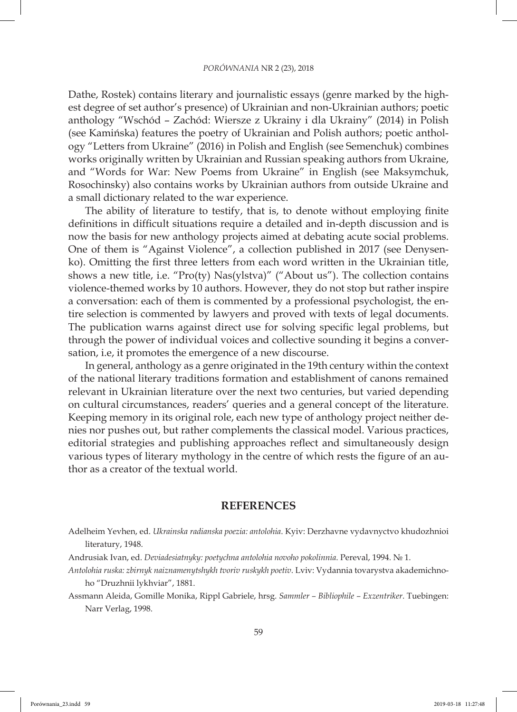Dathe, Rostek) contains literary and journalistic essays (genre marked by the highest degree of set author's presence) of Ukrainian and non-Ukrainian authors; poetic anthology "Wschód – Zachód: Wiersze z Ukrainy i dla Ukrainy" (2014) in Polish (see Kamińska) features the poetry of Ukrainian and Polish authors; poetic anthology "Letters from Ukraine" (2016) in Polish and English (see Semenchuk) combines works originally written by Ukrainian and Russian speaking authors from Ukraine, and "Words for War: New Poems from Ukraine" in English (see Maksymchuk, Rosochinsky) also contains works by Ukrainian authors from outside Ukraine and a small dictionary related to the war experience.

The ability of literature to testify, that is, to denote without employing finite definitions in difficult situations require a detailed and in-depth discussion and is now the basis for new anthology projects aimed at debating acute social problems. One of them is "Against Violence", a collection published in 2017 (see Denysenko). Omitting the first three letters from each word written in the Ukrainian title, shows a new title, i.e. "Pro(ty) Nas(ylstva)" ("About us"). The collection contains violence-themed works by 10 authors. However, they do not stop but rather inspire a conversation: each of them is commented by a professional psychologist, the entire selection is commented by lawyers and proved with texts of legal documents. The publication warns against direct use for solving specific legal problems, but through the power of individual voices and collective sounding it begins a conversation, i.e, it promotes the emergence of a new discourse.

In general, anthology as a genre originated in the 19th century within the context of the national literary traditions formation and establishment of canons remained relevant in Ukrainian literature over the next two centuries, but varied depending on cultural circumstances, readers' queries and a general concept of the literature. Keeping memory in its original role, each new type of anthology project neither denies nor pushes out, but rather complements the classical model. Various practices, editorial strategies and publishing approaches reflect and simultaneously design various types of literary mythology in the centre of which rests the figure of an author as a creator of the textual world.

## **REFERENCES**

- Andrusiak Ivan, ed. *Deviadesiatnyky: poetychna antolohia novoho pokolinnia*. Pereval, 1994. № 1.
- *Antolohia ruska: zbirnyk naiznamenytshykh tvoriv ruskykh poetiv*. Lviv: Vydannia tovarystva akademichnoho "Druzhnii lykhviar", 1881.
- Assmann Aleida, Gomille Monika, Rippl Gabriele, hrsg. *Sammler Bibliophile Exzentriker*. Tuebingen: Narr Verlag, 1998.

Adelheim Yevhen, ed. *Ukrainska radianska poezia: antolohia*. Kyiv: Derzhavne vydavnyctvo khudozhnioi literatury, 1948.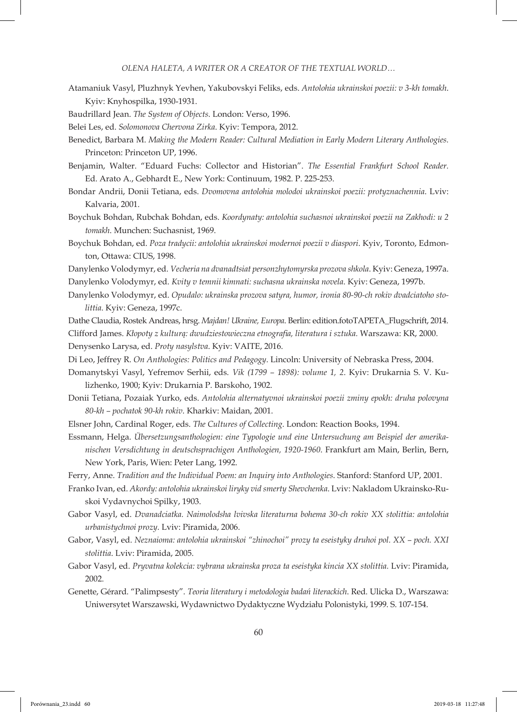*Olena Haleta, A WRITER OR A CREATOR OF THE TEXTUAL WORLD…*

- Atamaniuk Vasyl, Pluzhnyk Yevhen, Yakubovskyi Feliks, eds. *Antolohia ukrainskoi poezii: v 3-kh tomakh*. Kyiv: Knyhospilka, 1930-1931.
- Baudrillard Jean. *The System of Objects*. London: Verso, 1996.
- Belei Les, ed. *Solomonova Chervona Zirka*. Kyiv: Tempora, 2012.
- Benedict, Barbara M. *Making the Modern Reader: Cultural Mediation in Early Modern Literary Anthologies.*  Princeton: Princeton UP, 1996.
- Benjamin, Walter. "Eduard Fuchs: Collector and Historian". *The Essential Frankfurt School Reader.* Ed. Arato A., Gebhardt E., New York: Continuum, 1982. P. 225-253.
- Bondar Andrii, Donii Tetiana, eds. *Dvomovna antolohia molodoi ukrainskoi poezii: protyznachennia*. Lviv: Kalvaria, 2001.
- Boychuk Bohdan, Rubchak Bohdan, eds. *Koordynaty: antolohia suchasnoi ukrainskoi poezii na Zakhodi: u 2 tomakh*. Munchen: Suchasnist, 1969.
- Boychuk Bohdan, ed. *Poza tradycii: antolohia ukrainskoi modernoi poezii v diaspori*. Kyiv, Toronto, Edmonton, Ottawa: CIUS, 1998.
- Danylenko Volodymyr, ed. *Vecheria na dvanadtsiat personzhytomyrska prozova shkola*. Kyiv: Geneza, 1997a.
- Danylenko Volodymyr, ed. *Kvity v temnii kimnati: suchasna ukrainska novela*. Kyiv: Geneza, 1997b.
- Danylenko Volodymyr, ed. *Opudalo: ukrainska prozova satyra, humor, ironia 80-90-ch rokiv dvadciatoho stolittia*. Kyiv: Geneza, 1997c.
- Dathe Claudia, Rostek Andreas, hrsg. *Majdan! Ukraine, Europa*. Berlin: edition.fotoTAPETA\_Flugschrift, 2014.
- Clifford James. *Kłopoty z kulturą: dwudziestowieczna etnografia, literatura i sztuka.* Warszawa: KR, 2000.
- Denysenko Larysa, ed. *Proty nasylstva*. Kyiv: VAITE, 2016.
- Di Leo, Jeffrey R. *On Anthologies: Politics and Pedagogy*. Lincoln: University of Nebraska Press, 2004.
- Domanytskyi Vasyl, Yefremov Serhii, eds. *Vik (1799 1898): volume 1, 2*. Kyiv: Drukarnia S. V. Kulizhenko, 1900; Kyiv: Drukarnia P. Barskoho, 1902.
- Donii Tetiana, Pozaiak Yurko, eds. *Antolohia alternatyvnoi ukrainskoi poezii zminy epokh: druha polovyna 80-kh – pochatok 90-kh rokiv*. Kharkiv: Maidan, 2001.
- Elsner John, Cardinal Roger, eds. *The Cultures of Collecting*. London: Reaction Books, 1994.
- Essmann, Helga. *Übersetzungsanthologien: eine Typologie und eine Untersuchung am Beispiel der amerikanischen Versdichtung in deutschsprachigen Anthologien, 1920-1960*. Frankfurt am Main, Berlin, Bern, New York, Paris, Wien: Peter Lang, 1992.

Ferry, Anne. *Tradition and the Individual Poem: an Inquiry into Anthologies*. Stanford: Stanford UP, 2001.

- Franko Ivan, ed. *Akordy: antolohia ukrainskoi liryky vid smerty Shevchenka*. Lviv: Nakladom Ukrainsko-Ruskoi Vydavnychoi Spilky, 1903.
- Gabor Vasyl, ed. *Dvanadciatka. Naimolodsha lvivska literaturna bohema 30-ch rokiv XX stolittia: antolohia urbanistychnoi prozy*. Lviv: Piramida, 2006.
- Gabor, Vasyl, ed. *Neznaioma: antolohia ukrainskoi "zhinochoi" prozy ta eseistyky druhoi pol. XX poch. XXI stolittia*. Lviv: Piramida, 2005.
- Gabor Vasyl, ed. *Pryvatna kolekcia: vybrana ukrainska proza ta eseistyka kincia XX stolittia.* Lviv: Piramida, 2002.
- Genette, Gérard. "Palimpsesty". *Teoria literatury i metodologia badań literackich*. Red. Ulicka D., Warszawa: Uniwersytet Warszawski, Wydawnictwo Dydaktyczne Wydziału Polonistyki, 1999. S. 107-154.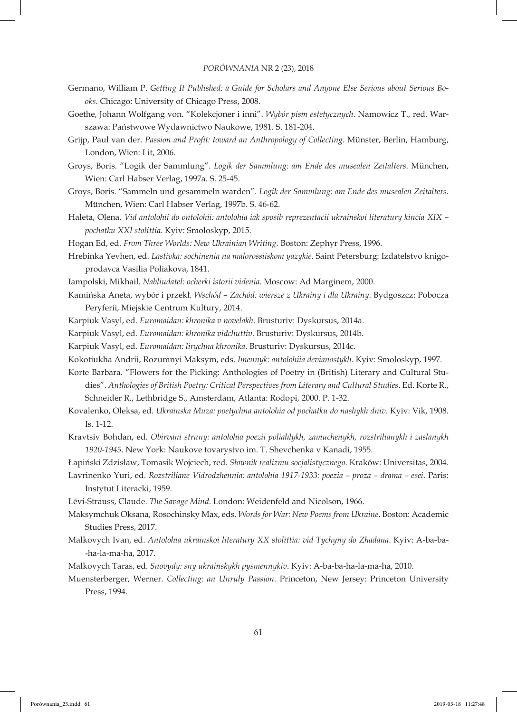- Germano, William P. *Getting It Published: a Guide for Scholars and Anyone Else Serious about Serious Books*. Chicago: University of Chicago Press, 2008.
- Goethe, Johann Wolfgang von. "Kolekcjoner i inni". *Wybór pism estetycznych*. Namowicz T., red. Warszawa: Państwowe Wydawnictwo Naukowe, 1981. S. 181-204.
- Grijp, Paul van der. *Passion and Profit: toward an Anthropology of Collecting*. Münster, Berlin, Hamburg, London, Wien: Lit, 2006.
- Groys, Boris. "Logik der Sammlung". *Logik der Sammlung: am Ende des musealen Zeitalters*. München, Wien: Carl Habser Verlag, 1997a. S. 25-45.
- Groys, Boris. "Sammeln und gesammeln warden". *Logik der Sammlung: am Ende des musealen Zeitalters.*  München, Wien: Carl Habser Verlag, 1997b. S. 46-62.
- Haleta, Olena. *Vid antolohii do ontolohii: antolohia iak sposib reprezentacii ukrainskoi literatury kincia XIX pochatku XXI stolittia*. Kyiv: Smoloskyp, 2015.
- Hogan Ed, ed. *From Three Worlds: New Ukrainian Writing*. Boston: Zephyr Press, 1996.
- Hrebinka Yevhen, ed. *Lastivka: sochinenia na malorossiiskom yazykie*. Saint Petersburg: Izdatelstvo knigoprodavca Vasilia Poliakova, 1841.
- Iampolski, Mikhail. *Nabliudatel: ocherki istorii videnia*. Moscow: Ad Marginem, 2000.
- Kamińska Aneta, wybór i przekł. *Wschód Zachód: wiersze z Ukrainy i dla Ukrainy*. Bydgoszcz: Pobocza Peryferii, Miejskie Centrum Kultury, 2014.
- Karpiuk Vasyl, ed. *Euromaidan: khronika v novelakh*. Brusturiv: Dyskursus, 2014a.
- Karpiuk Vasyl, ed. *Euromaidan: khronika vidchuttiv*. Brusturiv: Dyskursus, 2014b.
- Karpiuk Vasyl, ed. *Euromaidan: lirychna khronika*. Brusturiv: Dyskursus, 2014c.
- Kokotiukha Andrii, Rozumnyi Maksym, eds. *Imennyk: antolohiia devianostykh*. Kyiv: Smoloskyp, 1997.
- Korte Barbara. "Flowers for the Picking: Anthologies of Poetry in (British) Literary and Cultural Studies". *Anthologies of British Poetry: Critical Perspectives from Literary and Cultural Studies*. Ed. Korte R., Schneider R., Lethbridge S., Amsterdam, Atlanta: Rodopi, 2000. P. 1-32.
- Kovalenko, Oleksa, ed. *Ukrainska Muza: poetychna antolohia od pochatku do nashykh dniv*. Kyiv: Vik, 1908. Is. 1-12.
- Kravtsiv Bohdan, ed. *Obirvani struny: antolohia poezii poliahlykh, zamuchenykh, rozstrilianykh i zaslanykh 1920-1945*. New York: Naukove tovarystvo im. T. Shevchenka v Kanadi, 1955.
- Łapiński Zdzisław, Tomasik Wojciech, red. *Słownik realizmu socjalistycznego*. Kraków: Universitas, 2004.
- Lavrinenko Yuri, ed. *Rozstriliane Vidrodzhennia: antolohia 1917-1933: poezia proza drama esei*. Paris: Instytut Literacki, 1959.
- Lévi-Strauss, Claude. *The Savage Mind*. London: Weidenfeld and Nicolson, 1966.
- Maksymchuk Oksana, Rosochinsky Max, eds. *Words for War: New Poems from Ukraine*. Boston: Academic Studies Press, 2017.
- Malkovych Ivan, ed. *Antolohia ukrainskoi literatury XX stolittia: vid Tychyny do Zhadana*. Kyiv: A-ba-ba- -ha-la-ma-ha, 2017.
- Malkovych Taras, ed. *Snovydy: sny ukrainskykh pysmennykiv*. Kyiv: A-ba-ba-ha-la-ma-ha, 2010.
- Muensterberger, Werner. *Collecting: an Unruly Passion*. Princeton, New Jersey: Princeton University Press, 1994.